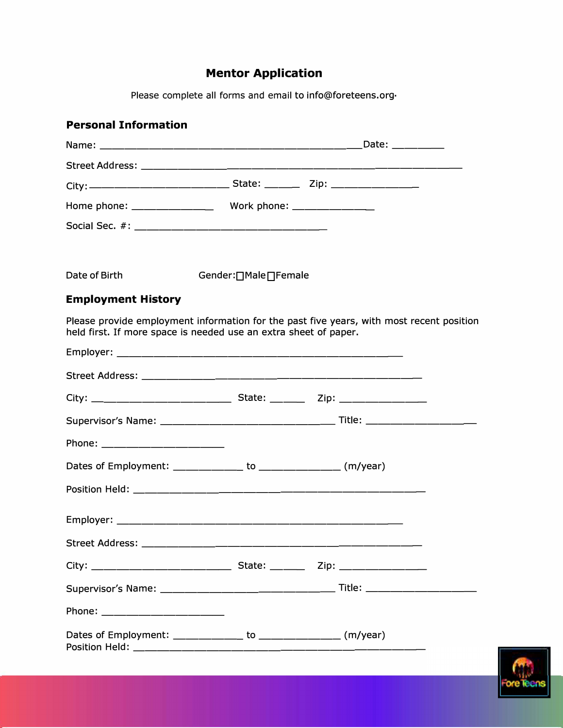# **Mentor Application**

Please complete all forms and email to info@foreteens.org.

## **Personal Information**

| Date of Birth                                                                                                                                                | Gender: [] Male [] Female |  |  |  |  |
|--------------------------------------------------------------------------------------------------------------------------------------------------------------|---------------------------|--|--|--|--|
| <b>Employment History</b>                                                                                                                                    |                           |  |  |  |  |
| Please provide employment information for the past five years, with most recent position<br>held first. If more space is needed use an extra sheet of paper. |                           |  |  |  |  |
|                                                                                                                                                              |                           |  |  |  |  |
|                                                                                                                                                              |                           |  |  |  |  |
|                                                                                                                                                              |                           |  |  |  |  |
|                                                                                                                                                              |                           |  |  |  |  |
| Phone: _____________________                                                                                                                                 |                           |  |  |  |  |
| Dates of Employment: ____________ to ______________ (m/year)                                                                                                 |                           |  |  |  |  |
|                                                                                                                                                              |                           |  |  |  |  |
|                                                                                                                                                              |                           |  |  |  |  |
|                                                                                                                                                              |                           |  |  |  |  |
|                                                                                                                                                              |                           |  |  |  |  |
|                                                                                                                                                              |                           |  |  |  |  |
| Phone: ___________________                                                                                                                                   |                           |  |  |  |  |
| Dates of Employment: ______________ to _______________ (m/year)                                                                                              |                           |  |  |  |  |

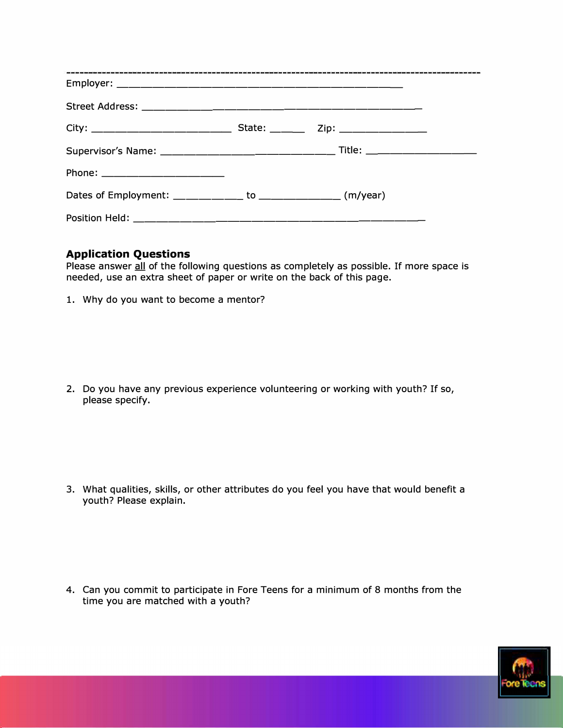#### **Application Questions**

Please answer all of the following questions as completely as possible. If more space is needed, use an extra sheet of paper or write on the back of this page.

1. Why do you want to become a mentor?

2. Do you have any previous experience volunteering or working with youth? If so, please specify.

3. What qualities, skills, or other attributes do you feel you have that would benefit a youth? Please explain.

4. Can you commit to participate in Fore Teens for a minimum of 8 months from the time you are matched with a youth?

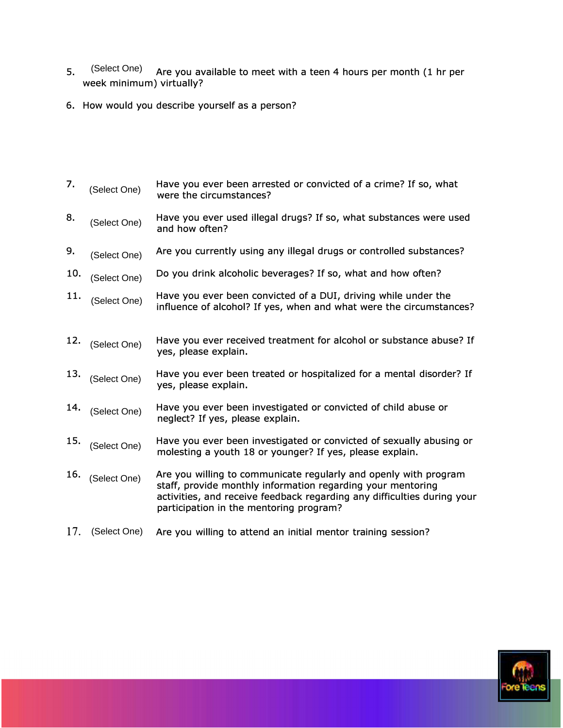- 5. (Select One) Are you available to meet with a teen 4 hours per month (1 hr per week minimum) virtually? (Select One)
- 6. How would you describe yourself as a person?
- 7.  $\mu_{\text{Cekat QCD}}$  Have you ever been arrested or convicted of a crime? If so, what were the circumstances? (Select One)
- 8. Golaat Ope. Have you ever used illegal drugs? If so, what substances were used and how often? (Select One)
- Are you currently using any illegal drugs or controlled substances? 9. (Select One)
- Do you drink alcoholic beverages? If so, what and how often? 10. (Select One)
- 11.  $\mu_{\text{rel}}$   $\sim$  Have you ever been convicted of a DUI, driving while under the influence of alcohol? If yes, when and what were the circumstances? (Select One)
- **12.** Have you ever received treatment for alcohol or substance abuse? If yes, please explain. 12. (Select One)
- 13. Gelast Ora Have you ever been treated or hospitalized for a mental disorder? If yes, please explain. (Select One)
- 14. *Ince Coloct Opol* Have you ever been investigated or convicted of child abuse or neglect? If yes, please explain. (Select One)
- Have you ever been investigated or convicted of sexually abusing or molesting a youth 18 or younger? If yes, please explain. 15. (Select One)
- Are you willing to communicate regularly and openly with program staff, provide monthly information regarding your mentoring activities, and receive feedback regarding any difficulties during your participation in the mentoring program? 16. (Select One)
- Are you willing to attend an initial mentor training session? 17. (Select One)

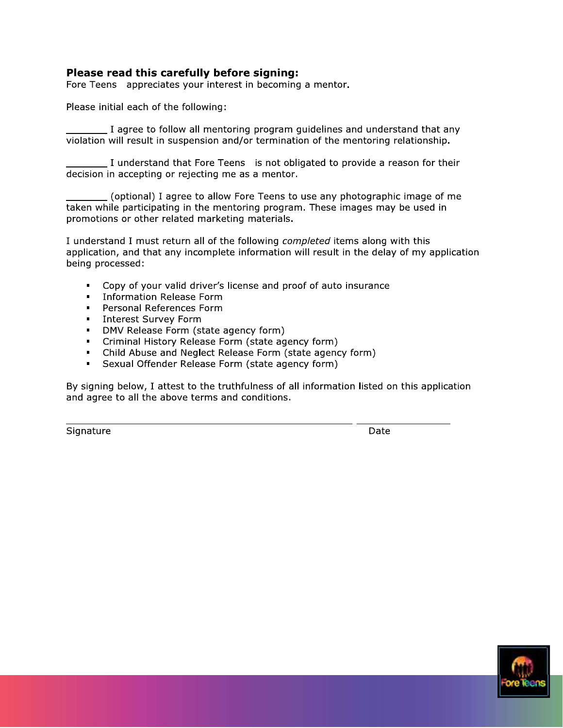#### Please read this carefully before signing:

Fore Teens appreciates your interest in becoming a mentor.

Please initial each of the following:

\_ I agree to follow all mentoring program guidelines and understand that any violation will result in suspension and/or termination of the mentoring relationship.

I understand that Fore Teens is not obligated to provide a reason for their decision in accepting or rejecting me as a mentor.

(optional) I agree to allow Fore Teens to use any photographic image of me taken while participating in the mentoring program. These images may be used in promotions or other related marketing materials.

I understand I must return all of the following completed items along with this application, and that any incomplete information will result in the delay of my application being processed:

- Copy of your valid driver's license and proof of auto insurance
- Information Release Form
- Personal References Form
- **Interest Survey Form**
- DMV Release Form (state agency form)
- Criminal History Release Form (state agency form)
- Child Abuse and Neglect Release Form (state agency form)
- Sexual Offender Release Form (state agency form)  $\mathbf{m}^{\prime}$

By signing below, I attest to the truthfulness of all information listed on this application and agree to all the above terms and conditions.

Signature

Date

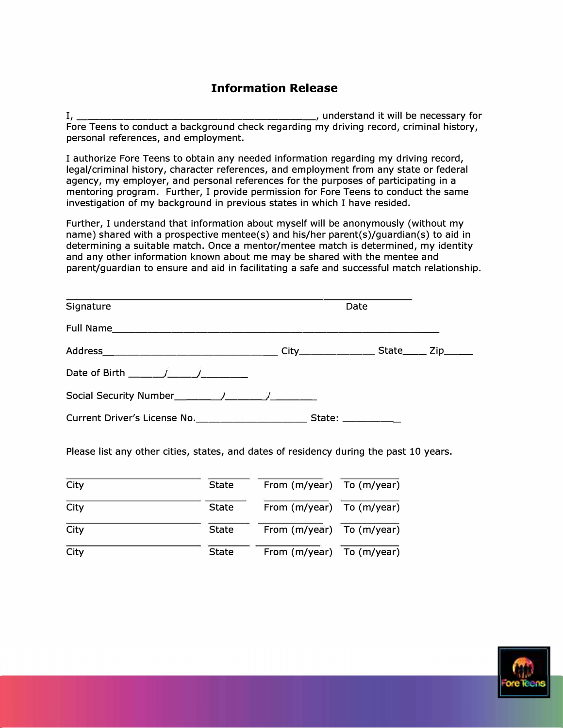## **Information Release**

I, \_\_\_\_\_\_\_\_\_\_\_\_\_\_\_\_\_\_\_\_ , understand it will be necessary for Fore Teens to conduct a background check regarding my driving record, criminal history, personal references, and employment.

I authorize Fore Teens to obtain any needed information regarding my driving record, legal/criminal history, character references, and employment from any state or federal agency, my employer, and personal references for the purposes of participating in a mentoring program. Further, I provide permission for Fore Teens to conduct the same investigation of my background in previous states in which I have resided.

Further, I understand that information about myself will be anonymously (without my name) shared with a prospective mentee(s) and his/her parent(s)/guardian(s) to aid in determining a suitable match. Once a mentor/mentee match is determined, my identity and any other information known about me may be shared with the mentee and parent/guardian to ensure and aid in facilitating a safe and successful match relationship.

| Signature                                                                                                                                                                                                                                                                                                        | Date                                                                                                                                                                                                                                                                                                                                                                                                                     |  |
|------------------------------------------------------------------------------------------------------------------------------------------------------------------------------------------------------------------------------------------------------------------------------------------------------------------|--------------------------------------------------------------------------------------------------------------------------------------------------------------------------------------------------------------------------------------------------------------------------------------------------------------------------------------------------------------------------------------------------------------------------|--|
|                                                                                                                                                                                                                                                                                                                  |                                                                                                                                                                                                                                                                                                                                                                                                                          |  |
|                                                                                                                                                                                                                                                                                                                  |                                                                                                                                                                                                                                                                                                                                                                                                                          |  |
| Date of Birth $\frac{1}{2}$ / /                                                                                                                                                                                                                                                                                  |                                                                                                                                                                                                                                                                                                                                                                                                                          |  |
| Social Security Number<br>$\frac{1}{2}$ $\frac{1}{2}$ $\frac{1}{2}$ $\frac{1}{2}$ $\frac{1}{2}$ $\frac{1}{2}$ $\frac{1}{2}$ $\frac{1}{2}$ $\frac{1}{2}$ $\frac{1}{2}$ $\frac{1}{2}$ $\frac{1}{2}$ $\frac{1}{2}$ $\frac{1}{2}$ $\frac{1}{2}$ $\frac{1}{2}$ $\frac{1}{2}$ $\frac{1}{2}$ $\frac{1}{2}$ $\frac{1}{2$ |                                                                                                                                                                                                                                                                                                                                                                                                                          |  |
| Current Driver's License No.                                                                                                                                                                                                                                                                                     | State: $\frac{1}{\sqrt{1-\frac{1}{2}}}\frac{1}{\sqrt{1-\frac{1}{2}}}\frac{1}{\sqrt{1-\frac{1}{2}}}\frac{1}{\sqrt{1-\frac{1}{2}}}\frac{1}{\sqrt{1-\frac{1}{2}}}\frac{1}{\sqrt{1-\frac{1}{2}}}\frac{1}{\sqrt{1-\frac{1}{2}}}\frac{1}{\sqrt{1-\frac{1}{2}}}\frac{1}{\sqrt{1-\frac{1}{2}}}\frac{1}{\sqrt{1-\frac{1}{2}}}\frac{1}{\sqrt{1-\frac{1}{2}}}\frac{1}{\sqrt{1-\frac{1}{2}}}\frac{1}{\sqrt{1-\frac{1}{2}}}\frac{1}{$ |  |

Please list any other cities, states, and dates of residency during the past 10 years.

| City | <b>State</b> | From (m/year) To (m/year)     |  |
|------|--------------|-------------------------------|--|
| City | <b>State</b> | From $(m/year)$ To $(m/year)$ |  |
| City | <b>State</b> | From (m/year) To (m/year)     |  |
| City | <b>State</b> | From (m/year) To (m/year)     |  |

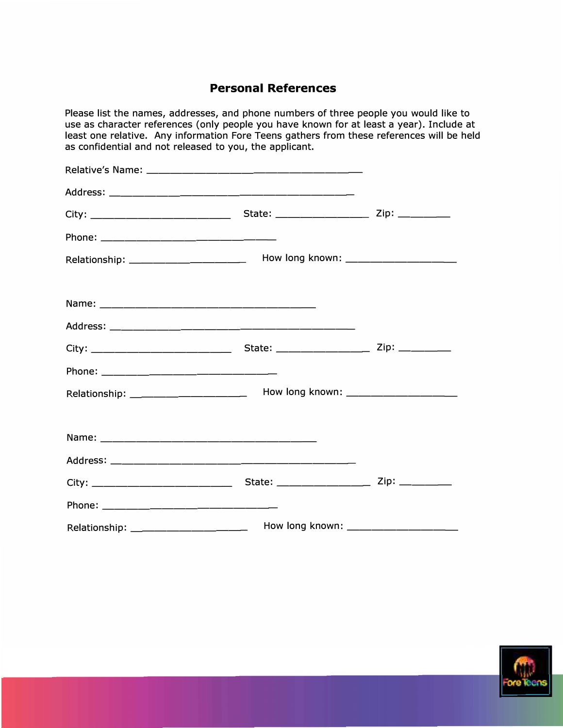## **Personal References**

| Please list the names, addresses, and phone numbers of three people you would like to<br>use as character references (only people you have known for at least a year). Include at<br>least one relative. Any information Fore Teens gathers from these references will be held<br>as confidential and not released to you, the applicant. |  |
|-------------------------------------------------------------------------------------------------------------------------------------------------------------------------------------------------------------------------------------------------------------------------------------------------------------------------------------------|--|
|                                                                                                                                                                                                                                                                                                                                           |  |
|                                                                                                                                                                                                                                                                                                                                           |  |
|                                                                                                                                                                                                                                                                                                                                           |  |
|                                                                                                                                                                                                                                                                                                                                           |  |
|                                                                                                                                                                                                                                                                                                                                           |  |
|                                                                                                                                                                                                                                                                                                                                           |  |
|                                                                                                                                                                                                                                                                                                                                           |  |
|                                                                                                                                                                                                                                                                                                                                           |  |
|                                                                                                                                                                                                                                                                                                                                           |  |
|                                                                                                                                                                                                                                                                                                                                           |  |
|                                                                                                                                                                                                                                                                                                                                           |  |
|                                                                                                                                                                                                                                                                                                                                           |  |
|                                                                                                                                                                                                                                                                                                                                           |  |
|                                                                                                                                                                                                                                                                                                                                           |  |
|                                                                                                                                                                                                                                                                                                                                           |  |
|                                                                                                                                                                                                                                                                                                                                           |  |
|                                                                                                                                                                                                                                                                                                                                           |  |

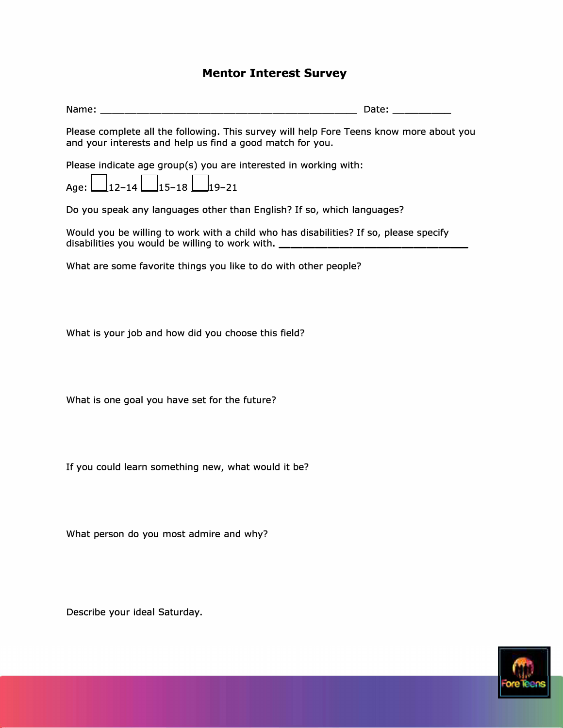### **Mentor Interest Survey**

Name: \_\_\_\_\_\_\_\_\_\_\_\_\_\_\_\_\_\_\_\_ \_ Date: \_\_\_\_ \_

Please complete all the following. This survey will help Fore Teens know more about you and your interests and help us find a good match for you.

Please indicate age group(s) you are interested in working with:

|  | Age: $\Box$ 12-14 $\Box$ 15-18 $\Box$ 19-21 |  |  |
|--|---------------------------------------------|--|--|

Do you speak any languages other than English? If so, which languages?

Would you be willing to work with a child who has disabilities? If so, please specify disabilities you would be willing to work with.

What are some favorite things you like to do with other people?

What is your job and how did you choose this field?

What is one goal you have set for the future?

If you could learn something new, what would it be?

What person do you most admire and why?

Describe your ideal Saturday.